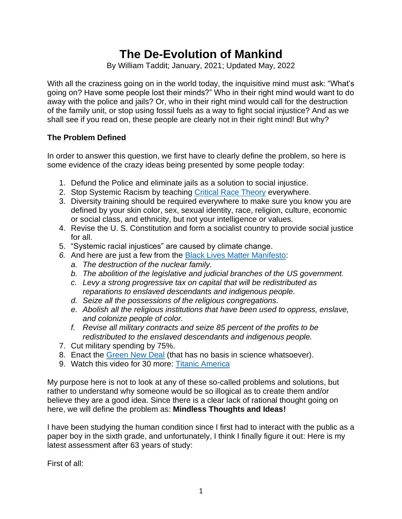# **The De-Evolution of Mankind**

By William Taddit; January, 2021; Updated May, 2022

With all the craziness going on in the world today, the inquisitive mind must ask: "What's going on? Have some people lost their minds?" Who in their right mind would want to do away with the police and jails? Or, who in their right mind would call for the destruction of the family unit, or stop using fossil fuels as a way to fight social injustice? And as we shall see if you read on, these people are clearly not in their right mind! But why?

## **The Problem Defined**

In order to answer this question, we first have to clearly define the problem, so here is some evidence of the crazy ideas being presented by some people today:

- 1. Defund the Police and eliminate jails as a solution to social injustice.
- 2. Stop Systemic Racism by teaching [Critical Race Theory](https://thefederalist.com/2020/09/29/critical-race-theory-is-a-classic-communist-divide-and-conquer-tactic/) everywhere.
- 3. Diversity training should be required everywhere to make sure you know you are defined by your skin color, sex, sexual identity, race, religion, culture, economic or social class, and ethnicity, but not your intelligence or values.
- 4. Revise the U. S. Constitution and form a socialist country to provide social justice for all.
- 5. "Systemic racial injustices" are caused by climate change.
- *6.* And here are just a few from the [Black Lives Matter Manifesto:](https://blmmanifesto.com/)
	- *a. The destruction of the nuclear family.*
	- *b. The abolition of the legislative and judicial branches of the US government.*
	- *c. Levy a strong progressive tax on capital that will be redistributed as reparations to enslaved descendants and indigenous people.*
	- *d. Seize all the possessions of the religious congregations.*
	- *e. Abolish all the religious institutions that have been used to oppress, enslave, and colonize people of color.*
	- *f. Revise all military contracts and seize 85 percent of the profits to be redistributed to the enslaved descendants and indigenous people.*
- 7. Cut military spending by 75%.
- 8. Enact the [Green New Deal](https://www.gp.org/gnd_full) (that has no basis in science whatsoever).
- 9. Watch this video for 30 more: [Titanic America](https://halturnerradioshow.com/index.php/en/news-page/world/2m-50s-video-about-titanic-america-the-collective-insanity-gripping-our-nation)

My purpose here is not to look at any of these so-called problems and solutions, but rather to understand why someone would be so illogical as to create them and/or believe they are a good idea. Since there is a clear lack of rational thought going on here, we will define the problem as: **Mindless Thoughts and Ideas!**

I have been studying the human condition since I first had to interact with the public as a paper boy in the sixth grade, and unfortunately, I think I finally figure it out: Here is my latest assessment after 63 years of study:

First of all: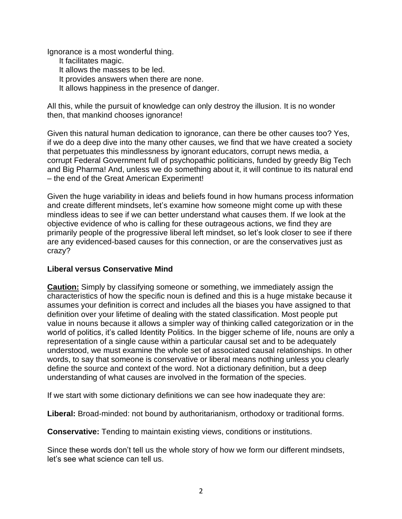Ignorance is a most wonderful thing. It facilitates magic.

It allows the masses to be led.

It provides answers when there are none.

It allows happiness in the presence of danger.

All this, while the pursuit of knowledge can only destroy the illusion. It is no wonder then, that mankind chooses ignorance!

Given this natural human dedication to ignorance, can there be other causes too? Yes, if we do a deep dive into the many other causes, we find that we have created a society that perpetuates this mindlessness by ignorant educators, corrupt news media, a corrupt Federal Government full of psychopathic politicians, funded by greedy Big Tech and Big Pharma! And, unless we do something about it, it will continue to its natural end – the end of the Great American Experiment!

Given the huge variability in ideas and beliefs found in how humans process information and create different mindsets, let's examine how someone might come up with these mindless ideas to see if we can better understand what causes them. If we look at the objective evidence of who is calling for these outrageous actions, we find they are primarily people of the progressive liberal left mindset, so let's look closer to see if there are any evidenced-based causes for this connection, or are the conservatives just as crazy?

## **Liberal versus Conservative Mind**

**Caution:** Simply by classifying someone or something, we immediately assign the characteristics of how the specific noun is defined and this is a huge mistake because it assumes your definition is correct and includes all the biases you have assigned to that definition over your lifetime of dealing with the stated classification. Most people put value in nouns because it allows a simpler way of thinking called categorization or in the world of politics, it's called Identity Politics. In the bigger scheme of life, nouns are only a representation of a single cause within a particular causal set and to be adequately understood, we must examine the whole set of associated causal relationships. In other words, to say that someone is conservative or liberal means nothing unless you clearly define the source and context of the word. Not a dictionary definition, but a deep understanding of what causes are involved in the formation of the species.

If we start with some dictionary definitions we can see how inadequate they are:

**Liberal:** Broad-minded: not bound by authoritarianism, orthodoxy or traditional forms.

**Conservative:** Tending to maintain existing views, conditions or institutions.

Since these words don't tell us the whole story of how we form our different mindsets, let's see what science can tell us.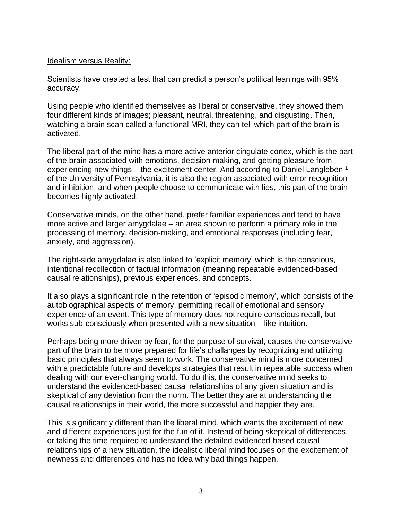#### Idealism versus Reality:

Scientists have created a test that can predict a person's political leanings with 95% accuracy.

Using people who identified themselves as liberal or conservative, they showed them four different kinds of images; pleasant, neutral, threatening, and disgusting. Then, watching a brain scan called a functional MRI, they can tell which part of the brain is activated.

The liberal part of the mind has a more active anterior cingulate cortex, which is the part of the brain associated with emotions, decision-making, and getting pleasure from experiencing new things – the excitement center. And according to Daniel Langleben  $<sup>1</sup>$ </sup> of the University of Pennsylvania, it is also the region associated with error recognition and inhibition, and when people choose to communicate with lies, this part of the brain becomes highly activated.

Conservative minds, on the other hand, prefer familiar experiences and tend to have more active and larger amygdalae – an area shown to perform a primary role in the processing of memory, decision-making, and emotional responses (including fear, anxiety, and aggression).

The right-side amygdalae is also linked to 'explicit memory' which is the conscious, intentional recollection of factual information (meaning repeatable evidenced-based causal relationships), previous experiences, and concepts.

It also plays a significant role in the retention of 'episodic memory', which consists of the autobiographical aspects of memory, permitting recall of emotional and sensory experience of an event. This type of memory does not require conscious recall, but works sub-consciously when presented with a new situation – like intuition.

Perhaps being more driven by fear, for the purpose of survival, causes the conservative part of the brain to be more prepared for life's challanges by recognizing and utilizing basic principles that always seem to work. The conservative mind is more concerned with a predictable future and develops strategies that result in repeatable success when dealing with our ever-changing world. To do this, the conservative mind seeks to understand the evidenced-based causal relationships of any given situation and is skeptical of any deviation from the norm. The better they are at understanding the causal relationships in their world, the more successful and happier they are.

This is significantly different than the liberal mind, which wants the excitement of new and different experiences just for the fun of it. Instead of being skeptical of differences, or taking the time required to understand the detailed evidenced-based causal relationships of a new situation, the idealistic liberal mind focuses on the excitement of newness and differences and has no idea why bad things happen.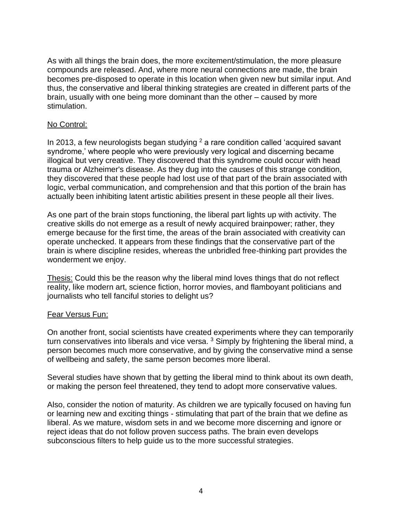As with all things the brain does, the more excitement/stimulation, the more pleasure compounds are released. And, where more neural connections are made, the brain becomes pre-disposed to operate in this location when given new but similar input. And thus, the conservative and liberal thinking strategies are created in different parts of the brain, usually with one being more dominant than the other – caused by more stimulation.

#### No Control:

In 2013, a few neurologists began studying  $2$  a rare condition called 'acquired savant syndrome,' where people who were previously very logical and discerning became illogical but very creative. They discovered that this syndrome could occur with head trauma or Alzheimer's disease. As they dug into the causes of this strange condition, they discovered that these people had lost use of that part of the brain associated with logic, verbal communication, and comprehension and that this portion of the brain has actually been inhibiting latent artistic abilities present in these people all their lives.

As one part of the brain stops functioning, the liberal part lights up with activity. The creative skills do not emerge as a result of newly acquired brainpower; rather, they emerge because for the first time, the areas of the brain associated with creativity can operate unchecked. It appears from these findings that the conservative part of the brain is where discipline resides, whereas the unbridled free-thinking part provides the wonderment we enjoy.

Thesis: Could this be the reason why the liberal mind loves things that do not reflect reality, like modern art, science fiction, horror movies, and flamboyant politicians and journalists who tell fanciful stories to delight us?

#### Fear Versus Fun:

On another front, social scientists have created experiments where they can temporarily turn conservatives into liberals and vice versa.  $3$  Simply by frightening the liberal mind, a person becomes much more conservative, and by giving the conservative mind a sense of wellbeing and safety, the same person becomes more liberal.

Several studies have shown that by getting the liberal mind to think about its own death, or making the person feel threatened, they tend to adopt more conservative values.

Also, consider the notion of maturity. As children we are typically focused on having fun or learning new and exciting things - stimulating that part of the brain that we define as liberal. As we mature, wisdom sets in and we become more discerning and ignore or reject ideas that do not follow proven success paths. The brain even develops subconscious filters to help guide us to the more successful strategies.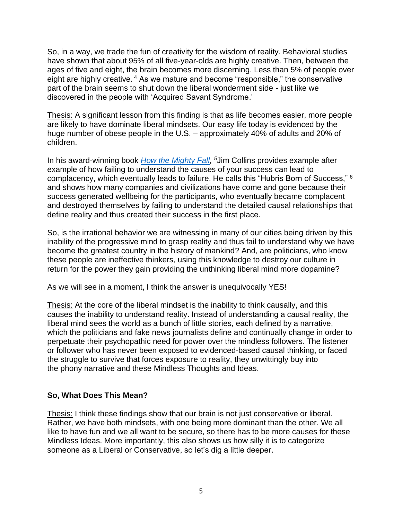So, in a way, we trade the fun of creativity for the wisdom of reality. Behavioral studies have shown that about 95% of all five-year-olds are highly creative. Then, between the ages of five and eight, the brain becomes more discerning. Less than 5% of people over eight are highly creative. <sup>4</sup> As we mature and become "responsible," the conservative part of the brain seems to shut down the liberal wonderment side - just like we discovered in the people with 'Acquired Savant Syndrome.'

Thesis: A significant lesson from this finding is that as life becomes easier, more people are likely to have dominate liberal mindsets. Our easy life today is evidenced by the huge number of obese people in the U.S. – approximately 40% of adults and 20% of children.

In his award-winning book *[How the Mighty Fall,](https://www.jimcollins.com/books/how-the-mighty-fall.html) <sup>5</sup>*Jim Collins provides example after example of how failing to understand the causes of your success can lead to complacency, which eventually leads to failure. He calls this "Hubris Born of Success," <sup>6</sup> and shows how many companies and civilizations have come and gone because their success generated wellbeing for the participants, who eventually became complacent and destroyed themselves by failing to understand the detailed causal relationships that define reality and thus created their success in the first place.

So, is the irrational behavior we are witnessing in many of our cities being driven by this inability of the progressive mind to grasp reality and thus fail to understand why we have become the greatest country in the history of mankind? And, are politicians, who know these people are ineffective thinkers, using this knowledge to destroy our culture in return for the power they gain providing the unthinking liberal mind more dopamine?

As we will see in a moment, I think the answer is unequivocally YES!

Thesis: At the core of the liberal mindset is the inability to think causally, and this causes the inability to understand reality. Instead of understanding a causal reality, the liberal mind sees the world as a bunch of little stories, each defined by a narrative, which the politicians and fake news journalists define and continually change in order to perpetuate their psychopathic need for power over the mindless followers. The listener or follower who has never been exposed to evidenced-based causal thinking, or faced the struggle to survive that forces exposure to reality, they unwittingly buy into the phony narrative and these Mindless Thoughts and Ideas.

## **So, What Does This Mean?**

Thesis: I think these findings show that our brain is not just conservative or liberal. Rather, we have both mindsets, with one being more dominant than the other. We all like to have fun and we all want to be secure, so there has to be more causes for these Mindless Ideas. More importantly, this also shows us how silly it is to categorize someone as a Liberal or Conservative, so let's dig a little deeper.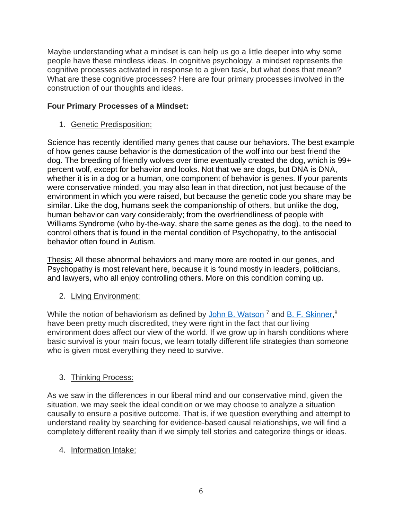Maybe understanding what a mindset is can help us go a little deeper into why some people have these mindless ideas. In cognitive psychology, a mindset represents the cognitive processes activated in response to a given task, but what does that mean? What are these cognitive processes? Here are four primary processes involved in the construction of our thoughts and ideas.

# **Four Primary Processes of a Mindset:**

1. Genetic Predisposition:

Science has recently identified many genes that cause our behaviors. The best example of how genes cause behavior is the domestication of the wolf into our best friend the dog. The breeding of friendly wolves over time eventually created the dog, which is 99+ percent wolf, except for behavior and looks. Not that we are dogs, but DNA is DNA, whether it is in a dog or a human, one component of behavior is genes. If your parents were conservative minded, you may also lean in that direction, not just because of the environment in which you were raised, but because the genetic code you share may be similar. Like the dog, humans seek the companionship of others, but unlike the dog, human behavior can vary considerably; from the overfriendliness of people with Williams Syndrome (who by-the-way, share the same genes as the dog), to the need to control others that is found in the mental condition of Psychopathy, to the antisocial behavior often found in Autism.

Thesis: All these abnormal behaviors and many more are rooted in our genes, and Psychopathy is most relevant here, because it is found mostly in leaders, politicians, and lawyers, who all enjoy controlling others. More on this condition coming up.

# 2. Living Environment:

While the notion of behaviorism as defined by [John B. Watson](https://en.wikipedia.org/wiki/John_B._Watson) <sup>7</sup> and [B. F. Skinner,](https://en.wikipedia.org/wiki/B._F._Skinner)<sup>8</sup> have been pretty much discredited, they were right in the fact that our living environment does affect our view of the world. If we grow up in harsh conditions where basic survival is your main focus, we learn totally different life strategies than someone who is given most everything they need to survive.

# 3. Thinking Process:

As we saw in the differences in our liberal mind and our conservative mind, given the situation, we may seek the ideal condition or we may choose to analyze a situation causally to ensure a positive outcome. That is, if we question everything and attempt to understand reality by searching for evidence-based causal relationships, we will find a completely different reality than if we simply tell stories and categorize things or ideas.

# 4. Information Intake: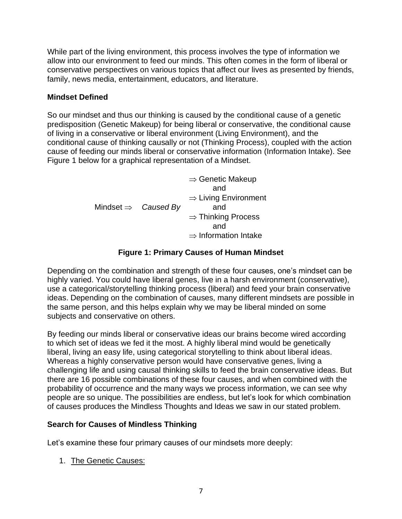While part of the living environment, this process involves the type of information we allow into our environment to feed our minds. This often comes in the form of liberal or conservative perspectives on various topics that affect our lives as presented by friends, family, news media, entertainment, educators, and literature.

## **Mindset Defined**

So our mindset and thus our thinking is caused by the conditional cause of a genetic predisposition (Genetic Makeup) for being liberal or conservative, the conditional cause of living in a conservative or liberal environment (Living Environment), and the conditional cause of thinking causally or not (Thinking Process), coupled with the action cause of feeding our minds liberal or conservative information (Information Intake). See Figure 1 below for a graphical representation of a Mindset.

|                                 | $\Rightarrow$ Genetic Makeup     |
|---------------------------------|----------------------------------|
|                                 | and                              |
|                                 | $\Rightarrow$ Living Environment |
| Mindset $\Rightarrow$ Caused By | and                              |
|                                 | $\Rightarrow$ Thinking Process   |
|                                 | and                              |
|                                 | $\Rightarrow$ Information Intake |

## **Figure 1: Primary Causes of Human Mindset**

Depending on the combination and strength of these four causes, one's mindset can be highly varied. You could have liberal genes, live in a harsh environment (conservative), use a categorical/storytelling thinking process (liberal) and feed your brain conservative ideas. Depending on the combination of causes, many different mindsets are possible in the same person, and this helps explain why we may be liberal minded on some subjects and conservative on others.

By feeding our minds liberal or conservative ideas our brains become wired according to which set of ideas we fed it the most. A highly liberal mind would be genetically liberal, living an easy life, using categorical storytelling to think about liberal ideas. Whereas a highly conservative person would have conservative genes, living a challenging life and using causal thinking skills to feed the brain conservative ideas. But there are 16 possible combinations of these four causes, and when combined with the probability of occurrence and the many ways we process information, we can see why people are so unique. The possibilities are endless, but let's look for which combination of causes produces the Mindless Thoughts and Ideas we saw in our stated problem.

# **Search for Causes of Mindless Thinking**

Let's examine these four primary causes of our mindsets more deeply:

1. The Genetic Causes: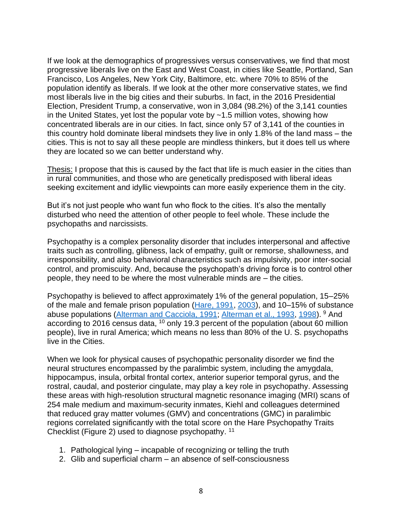If we look at the demographics of progressives versus conservatives, we find that most progressive liberals live on the East and West Coast, in cities like Seattle, Portland, San Francisco, Los Angeles, New York City, Baltimore, etc. where 70% to 85% of the population identify as liberals. If we look at the other more conservative states, we find most liberals live in the big cities and their suburbs. In fact, in the 2016 Presidential Election, President Trump, a conservative, won in 3,084 (98.2%) of the 3,141 counties in the United States, yet lost the popular vote by ~1.5 million votes, showing how concentrated liberals are in our cities. In fact, since only 57 of 3,141 of the counties in this country hold dominate liberal mindsets they live in only 1.8% of the land mass – the cities. This is not to say all these people are mindless thinkers, but it does tell us where they are located so we can better understand why.

Thesis: I propose that this is caused by the fact that life is much easier in the cities than in rural communities, and those who are genetically predisposed with liberal ideas seeking excitement and idyllic viewpoints can more easily experience them in the city.

But it's not just people who want fun who flock to the cities. It's also the mentally disturbed who need the attention of other people to feel whole. These include the psychopaths and narcissists.

Psychopathy is a complex personality disorder that includes interpersonal and affective traits such as controlling, glibness, lack of empathy, guilt or remorse, shallowness, and irresponsibility, and also behavioral characteristics such as impulsivity, poor inter-social control, and promiscuity. And, because the psychopath's driving force is to control other people, they need to be where the most vulnerable minds are – the cities.

Psychopathy is believed to affect approximately 1% of the general population, 15–25% of the male and female prison population [\(Hare, 1991,](https://www.ncbi.nlm.nih.gov/pmc/articles/PMC2765815/#R56) [2003\)](https://www.ncbi.nlm.nih.gov/pmc/articles/PMC2765815/#R59), and 10–15% of substance abuse populations [\(Alterman and Cacciola, 1991;](https://www.ncbi.nlm.nih.gov/pmc/articles/PMC2765815/#R4) [Alterman et al., 1993,](https://www.ncbi.nlm.nih.gov/pmc/articles/PMC2765815/#R5) [1998\)](https://www.ncbi.nlm.nih.gov/pmc/articles/PMC2765815/#R6). <sup>9</sup> And according to 2016 census data, <sup>10</sup> only 19.3 percent of the population (about 60 million people), live in rural America; which means no less than 80% of the U. S. psychopaths live in the Cities.

When we look for physical causes of psychopathic personality disorder we find the neural structures encompassed by the paralimbic system, including the amygdala, hippocampus, insula, orbital frontal cortex, anterior superior temporal gyrus, and the rostral, caudal, and posterior cingulate, may play a key role in psychopathy. Assessing these areas with high-resolution structural magnetic resonance imaging (MRI) scans of 254 male medium and maximum-security inmates, Kiehl and colleagues determined that reduced gray matter volumes (GMV) and concentrations (GMC) in paralimbic regions correlated significantly with the total score on the Hare Psychopathy Traits Checklist (Figure 2) used to diagnose psychopathy. 11

- 1. Pathological lying incapable of recognizing or telling the truth
- 2. Glib and superficial charm an absence of self-consciousness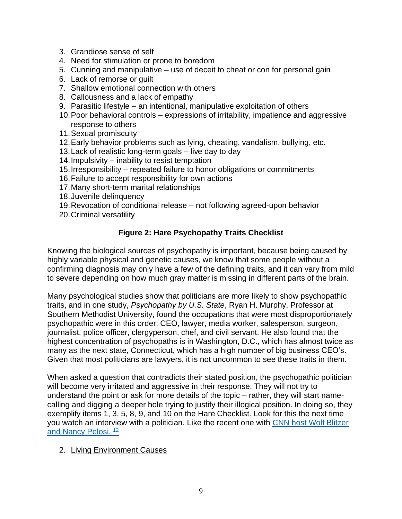- 3. Grandiose sense of self
- 4. Need for stimulation or prone to boredom
- 5. Cunning and manipulative use of deceit to cheat or con for personal gain
- 6. Lack of remorse or guilt
- 7. Shallow emotional connection with others
- 8. Callousness and a lack of empathy
- 9. Parasitic lifestyle an intentional, manipulative exploitation of others
- 10.Poor behavioral controls expressions of irritability, impatience and aggressive response to others
- 11.Sexual promiscuity
- 12.Early behavior problems such as lying, cheating, vandalism, bullying, etc.
- 13.Lack of realistic long-term goals live day to day
- 14.Impulsivity inability to resist temptation
- 15.Irresponsibility repeated failure to honor obligations or commitments
- 16.Failure to accept responsibility for own actions
- 17.Many short-term marital relationships
- 18.Juvenile delinquency
- 19.Revocation of conditional release not following agreed-upon behavior
- 20.Criminal versatility

# **Figure 2: Hare Psychopathy Traits Checklist**

Knowing the biological sources of psychopathy is important, because being caused by highly variable physical and genetic causes, we know that some people without a confirming diagnosis may only have a few of the defining traits, and it can vary from mild to severe depending on how much gray matter is missing in different parts of the brain.

Many psychological studies show that politicians are more likely to show psychopathic traits, and in one study, *Psychopathy by U.S. State*, Ryan H. Murphy, Professor at Southern Methodist University, found the occupations that were most disproportionately psychopathic were in this order: CEO, lawyer, media worker, salesperson, surgeon, journalist, police officer, clergyperson, chef, and civil servant. He also found that the highest concentration of psychopaths is in Washington, D.C., which has almost twice as many as the next state, Connecticut, which has a high number of big business CEO's. Given that most politicians are lawyers, it is not uncommon to see these traits in them.

When asked a question that contradicts their stated position, the psychopathic politician will become very irritated and aggressive in their response. They will not try to understand the point or ask for more details of the topic – rather, they will start namecalling and digging a deeper hole trying to justify their illogical position. In doing so, they exemplify items 1, 3, 5, 8, 9, and 10 on the Hare Checklist. Look for this the next time you watch an interview with a politician. Like the recent one with [CNN host Wolf Blitzer](https://www.msn.com/en-us/news/politics/house-speaker-nancy-pelosi-clashed-with-cnn-s-wolf-blitzer-over-why-democrats-haven-t-accepted-the-trump-administration-s-1-8-trillion-stimulus-offer/ar-BB19ZxXJ)  [and Nancy Pelosi.](https://www.msn.com/en-us/news/politics/house-speaker-nancy-pelosi-clashed-with-cnn-s-wolf-blitzer-over-why-democrats-haven-t-accepted-the-trump-administration-s-1-8-trillion-stimulus-offer/ar-BB19ZxXJ) <sup>12</sup>

## 2. Living Environment Causes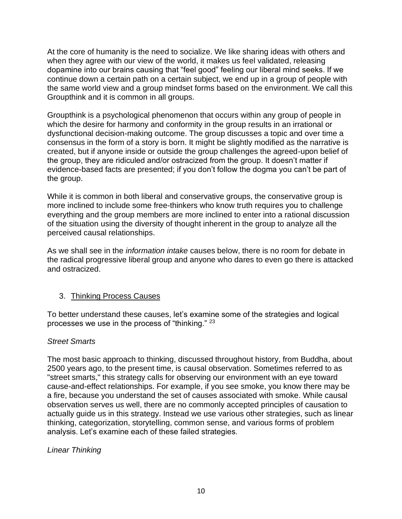At the core of humanity is the need to socialize. We like sharing ideas with others and when they agree with our view of the world, it makes us feel validated, releasing dopamine into our brains causing that "feel good" feeling our liberal mind seeks. If we continue down a certain path on a certain subject, we end up in a group of people with the same world view and a group mindset forms based on the environment. We call this Groupthink and it is common in all groups.

Groupthink is a psychological phenomenon that occurs within any group of people in which the desire for harmony and conformity in the group results in an irrational or dysfunctional decision-making outcome. The group discusses a topic and over time a consensus in the form of a story is born. It might be slightly modified as the narrative is created, but if anyone inside or outside the group challenges the agreed-upon belief of the group, they are ridiculed and/or ostracized from the group. It doesn't matter if evidence-based facts are presented; if you don't follow the dogma you can't be part of the group.

While it is common in both liberal and conservative groups, the conservative group is more inclined to include some free-thinkers who know truth requires you to challenge everything and the group members are more inclined to enter into a rational discussion of the situation using the diversity of thought inherent in the group to analyze all the perceived causal relationships.

As we shall see in the *information intake* causes below, there is no room for debate in the radical progressive liberal group and anyone who dares to even go there is attacked and ostracized.

## 3. Thinking Process Causes

To better understand these causes, let's examine some of the strategies and logical processes we use in the process of "thinking." <sup>23</sup>

## *Street Smarts*

The most basic approach to thinking, discussed throughout history, from Buddha, about 2500 years ago, to the present time, is causal observation. Sometimes referred to as "street smarts," this strategy calls for observing our environment with an eye toward cause-and-effect relationships. For example, if you see smoke, you know there may be a fire, because you understand the set of causes associated with smoke. While causal observation serves us well, there are no commonly accepted principles of causation to actually guide us in this strategy. Instead we use various other strategies, such as linear thinking, categorization, storytelling, common sense, and various forms of problem analysis. Let's examine each of these failed strategies.

## *Linear Thinking*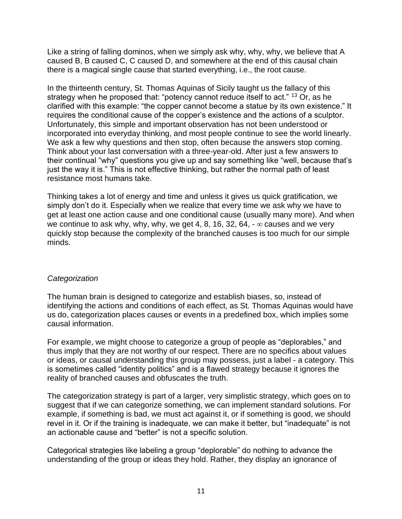Like a string of falling dominos, when we simply ask why, why, why, we believe that A caused B, B caused C, C caused D, and somewhere at the end of this causal chain there is a magical single cause that started everything, i.e., the root cause.

In the thirteenth century, St. Thomas Aquinas of Sicily taught us the fallacy of this strategy when he proposed that: "potency cannot reduce itself to act." <sup>13</sup> Or, as he clarified with this example: "the copper cannot become a statue by its own existence." It requires the conditional cause of the copper's existence and the actions of a sculptor. Unfortunately, this simple and important observation has not been understood or incorporated into everyday thinking, and most people continue to see the world linearly. We ask a few why questions and then stop, often because the answers stop coming. Think about your last conversation with a three-year-old. After just a few answers to their continual "why" questions you give up and say something like "well, because that's just the way it is." This is not effective thinking, but rather the normal path of least resistance most humans take.

Thinking takes a lot of energy and time and unless it gives us quick gratification, we simply don't do it. Especially when we realize that every time we ask why we have to get at least one action cause and one conditional cause (usually many more). And when we continue to ask why, why, why, we get 4, 8, 16, 32, 64,  $-\infty$  causes and we very quickly stop because the complexity of the branched causes is too much for our simple minds.

## *Categorization*

The human brain is designed to categorize and establish biases, so, instead of identifying the actions and conditions of each effect, as St. Thomas Aquinas would have us do, categorization places causes or events in a predefined box, which implies some causal information.

For example, we might choose to categorize a group of people as "deplorables," and thus imply that they are not worthy of our respect. There are no specifics about values or ideas, or causal understanding this group may possess, just a label - a category. This is sometimes called "identity politics" and is a flawed strategy because it ignores the reality of branched causes and obfuscates the truth.

The categorization strategy is part of a larger, very simplistic strategy, which goes on to suggest that if we can categorize something, we can implement standard solutions. For example, if something is bad, we must act against it, or if something is good, we should revel in it. Or if the training is inadequate, we can make it better, but "inadequate" is not an actionable cause and "better" is not a specific solution.

Categorical strategies like labeling a group "deplorable" do nothing to advance the understanding of the group or ideas they hold. Rather, they display an ignorance of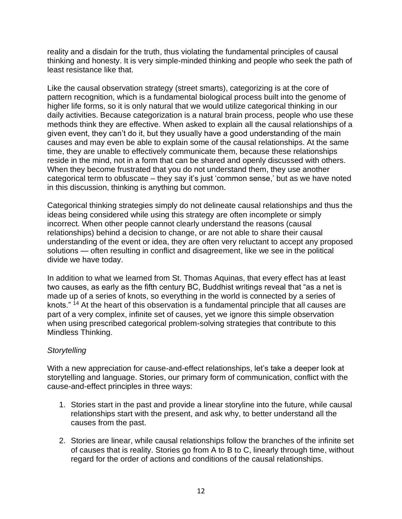reality and a disdain for the truth, thus violating the fundamental principles of causal thinking and honesty. It is very simple-minded thinking and people who seek the path of least resistance like that.

Like the causal observation strategy (street smarts), categorizing is at the core of pattern recognition, which is a fundamental biological process built into the genome of higher life forms, so it is only natural that we would utilize categorical thinking in our daily activities. Because categorization is a natural brain process, people who use these methods think they are effective. When asked to explain all the causal relationships of a given event, they can't do it, but they usually have a good understanding of the main causes and may even be able to explain some of the causal relationships. At the same time, they are unable to effectively communicate them, because these relationships reside in the mind, not in a form that can be shared and openly discussed with others. When they become frustrated that you do not understand them, they use another categorical term to obfuscate – they say it's just 'common sense,' but as we have noted in this discussion, thinking is anything but common.

Categorical thinking strategies simply do not delineate causal relationships and thus the ideas being considered while using this strategy are often incomplete or simply incorrect. When other people cannot clearly understand the reasons (causal relationships) behind a decision to change, or are not able to share their causal understanding of the event or idea, they are often very reluctant to accept any proposed solutions — often resulting in conflict and disagreement, like we see in the political divide we have today.

In addition to what we learned from St. Thomas Aquinas, that every effect has at least two causes, as early as the fifth century BC, Buddhist writings reveal that "as a net is made up of a series of knots, so everything in the world is connected by a series of knots." <sup>14</sup> At the heart of this observation is a fundamental principle that all causes are part of a very complex, infinite set of causes, yet we ignore this simple observation when using prescribed categorical problem-solving strategies that contribute to this Mindless Thinking.

## *Storytelling*

With a new appreciation for cause-and-effect relationships, let's take a deeper look at storytelling and language. Stories, our primary form of communication, conflict with the cause-and-effect principles in three ways:

- 1. Stories start in the past and provide a linear storyline into the future, while causal relationships start with the present, and ask why, to better understand all the causes from the past.
- 2. Stories are linear, while causal relationships follow the branches of the infinite set of causes that is reality. Stories go from A to B to C, linearly through time, without regard for the order of actions and conditions of the causal relationships.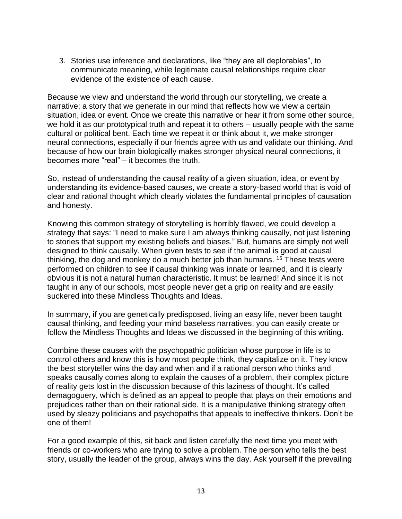3. Stories use inference and declarations, like "they are all deplorables", to communicate meaning, while legitimate causal relationships require clear evidence of the existence of each cause.

Because we view and understand the world through our storytelling, we create a narrative; a story that we generate in our mind that reflects how we view a certain situation, idea or event. Once we create this narrative or hear it from some other source, we hold it as our prototypical truth and repeat it to others – usually people with the same cultural or political bent. Each time we repeat it or think about it, we make stronger neural connections, especially if our friends agree with us and validate our thinking. And because of how our brain biologically makes stronger physical neural connections, it becomes more "real" – it becomes the truth.

So, instead of understanding the causal reality of a given situation, idea, or event by understanding its evidence-based causes, we create a story-based world that is void of clear and rational thought which clearly violates the fundamental principles of causation and honesty.

Knowing this common strategy of storytelling is horribly flawed, we could develop a strategy that says: "I need to make sure I am always thinking causally, not just listening to stories that support my existing beliefs and biases." But, humans are simply not well designed to think causally. When given tests to see if the animal is good at causal thinking, the dog and monkey do a much better job than humans. <sup>15</sup> These tests were performed on children to see if causal thinking was innate or learned, and it is clearly obvious it is not a natural human characteristic. It must be learned! And since it is not taught in any of our schools, most people never get a grip on reality and are easily suckered into these Mindless Thoughts and Ideas.

In summary, if you are genetically predisposed, living an easy life, never been taught causal thinking, and feeding your mind baseless narratives, you can easily create or follow the Mindless Thoughts and Ideas we discussed in the beginning of this writing.

Combine these causes with the psychopathic politician whose purpose in life is to control others and know this is how most people think, they capitalize on it. They know the best storyteller wins the day and when and if a rational person who thinks and speaks causally comes along to explain the causes of a problem, their complex picture of reality gets lost in the discussion because of this laziness of thought. It's called demagoguery, which is defined as an appeal to people that plays on their emotions and prejudices rather than on their rational side. It is a manipulative thinking strategy often used by sleazy politicians and psychopaths that appeals to ineffective thinkers. Don't be one of them!

For a good example of this, sit back and listen carefully the next time you meet with friends or co-workers who are trying to solve a problem. The person who tells the best story, usually the leader of the group, always wins the day. Ask yourself if the prevailing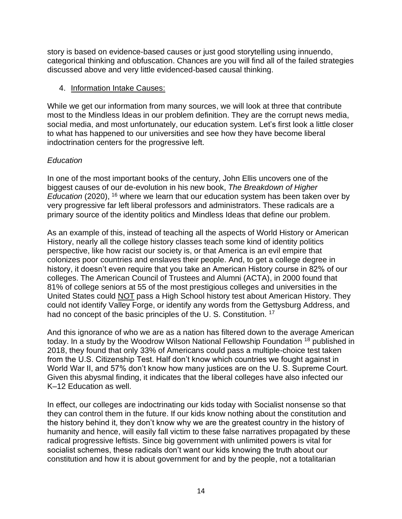story is based on evidence-based causes or just good storytelling using innuendo, categorical thinking and obfuscation. Chances are you will find all of the failed strategies discussed above and very little evidenced-based causal thinking.

#### 4. Information Intake Causes:

While we get our information from many sources, we will look at three that contribute most to the Mindless Ideas in our problem definition. They are the corrupt news media, social media, and most unfortunately, our education system. Let's first look a little closer to what has happened to our universities and see how they have become liberal indoctrination centers for the progressive left.

## *Education*

In one of the most important books of the century, John Ellis uncovers one of the biggest causes of our de-evolution in his new book, *The Breakdown of Higher Education* (2020), <sup>16</sup> where we learn that our education system has been taken over by very progressive far left liberal professors and administrators. These radicals are a primary source of the identity politics and Mindless Ideas that define our problem.

As an example of this, instead of teaching all the aspects of World History or American History, nearly all the college history classes teach some kind of identity politics perspective, like how racist our society is, or that America is an evil empire that colonizes poor countries and enslaves their people. And, to get a college degree in history, it doesn't even require that you take an American History course in 82% of our colleges. The American Council of Trustees and Alumni (ACTA), in 2000 found that 81% of college seniors at 55 of the most prestigious colleges and universities in the United States could NOT pass a High School history test about American History. They could not identify Valley Forge, or identify any words from the Gettysburg Address, and had no concept of the basic principles of the U.S. Constitution.<sup>17</sup>

And this ignorance of who we are as a nation has filtered down to the average American today. In a study by the Woodrow Wilson National Fellowship Foundation <sup>18</sup> published in 2018, they found that only 33% of Americans could pass a multiple-choice test taken from the U.S. Citizenship Test. Half don't know which countries we fought against in World War II, and 57% don't know how many justices are on the U. S. Supreme Court. Given this abysmal finding, it indicates that the liberal colleges have also infected our K–12 Education as well.

In effect, our colleges are indoctrinating our kids today with Socialist nonsense so that they can control them in the future. If our kids know nothing about the constitution and the history behind it, they don't know why we are the greatest country in the history of humanity and hence, will easily fall victim to these false narratives propagated by these radical progressive leftists. Since big government with unlimited powers is vital for socialist schemes, these radicals don't want our kids knowing the truth about our constitution and how it is about government for and by the people, not a totalitarian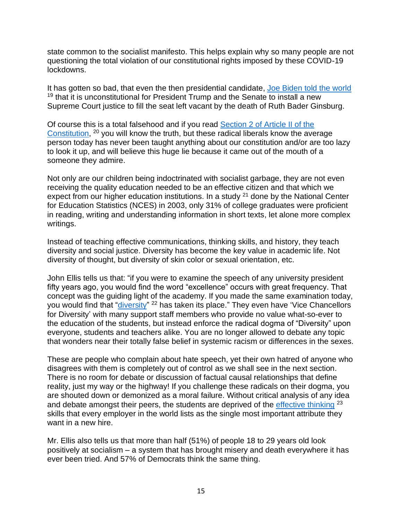state common to the socialist manifesto. This helps explain why so many people are not questioning the total violation of our constitutional rights imposed by these COVID-19 lockdowns.

It has gotten so bad, that even the then presidential candidate, [Joe Biden told the world](https://www.politifact.com/factchecks/2020/oct/13/joe-biden/fact-check-bidens-misleading-claim-senate-gops-sup/)  $19$  that it is unconstitutional for President Trump and the Senate to install a new Supreme Court justice to fill the seat left vacant by the death of Ruth Bader Ginsburg.

Of course this is a total falsehood and if you read [Section 2 of Article II of the](https://usconstitution.net/const.pdf)  [Constitution,](https://usconstitution.net/const.pdf) <sup>20</sup> you will know the truth, but these radical liberals know the average person today has never been taught anything about our constitution and/or are too lazy to look it up, and will believe this huge lie because it came out of the mouth of a someone they admire.

Not only are our children being indoctrinated with socialist garbage, they are not even receiving the quality education needed to be an effective citizen and that which we expect from our higher education institutions. In a study  $21$  done by the National Center for Education Statistics (NCES) in 2003, only 31% of college graduates were proficient in reading, writing and understanding information in short texts, let alone more complex writings.

Instead of teaching effective communications, thinking skills, and history, they teach diversity and social justice. Diversity has become the key value in academic life. Not diversity of thought, but diversity of skin color or sexual orientation, etc.

John Ellis tells us that: "if you were to examine the speech of any university president fifty years ago, you would find the word "excellence" occurs with great frequency. That concept was the guiding light of the academy. If you made the same examination today, you would find that "<u>diversity</u>" <sup>22</sup> has taken its place." They even have 'Vice Chancellors for Diversity' with many support staff members who provide no value what-so-ever to the education of the students, but instead enforce the radical dogma of "Diversity" upon everyone, students and teachers alike. You are no longer allowed to debate any topic that wonders near their totally false belief in systemic racism or differences in the sexes.

These are people who complain about hate speech, yet their own hatred of anyone who disagrees with them is completely out of control as we shall see in the next section. There is no room for debate or discussion of factual causal relationships that define reality, just my way or the highway! If you challenge these radicals on their dogma, you are shouted down or demonized as a moral failure. Without critical analysis of any idea and debate amongst their peers, the students are deprived of the [effective thinking](https://www.amazon.com/Effective-Thinking-Humility-William-Taddit/dp/1796059536/ref=sr_1_1?dchild=1&keywords=William+Taddit&qid=1601847527&sr=8-1) <sup>23</sup> skills that every employer in the world lists as the single most important attribute they want in a new hire.

Mr. Ellis also tells us that more than half (51%) of people 18 to 29 years old look positively at socialism – a system that has brought misery and death everywhere it has ever been tried. And 57% of Democrats think the same thing.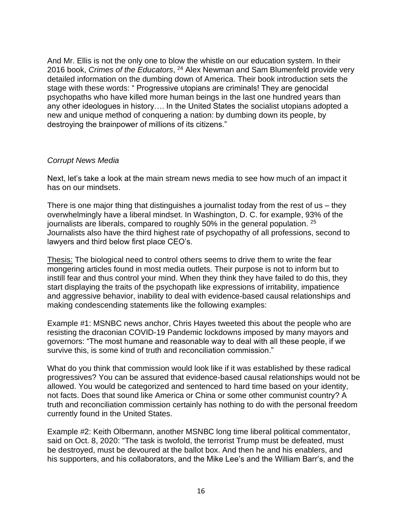And Mr. Ellis is not the only one to blow the whistle on our education system. In their 2016 book, *Crimes of the Educators*, <sup>24</sup> Alex Newman and Sam Blumenfeld provide very detailed information on the dumbing down of America. Their book introduction sets the stage with these words: " Progressive utopians are criminals! They are genocidal psychopaths who have killed more human beings in the last one hundred years than any other ideologues in history…. In the United States the socialist utopians adopted a new and unique method of conquering a nation: by dumbing down its people, by destroying the brainpower of millions of its citizens."

#### *Corrupt News Media*

Next, let's take a look at the main stream news media to see how much of an impact it has on our mindsets.

There is one major thing that distinguishes a journalist today from the rest of us – they overwhelmingly have a liberal mindset. In Washington, D. C. for example, 93% of the journalists are liberals, compared to roughly 50% in the general population. <sup>25</sup> Journalists also have the third highest rate of psychopathy of all professions, second to lawyers and third below first place CEO's.

Thesis: The biological need to control others seems to drive them to write the fear mongering articles found in most media outlets. Their purpose is not to inform but to instill fear and thus control your mind. When they think they have failed to do this, they start displaying the traits of the psychopath like expressions of irritability, impatience and aggressive behavior, inability to deal with evidence-based causal relationships and making condescending statements like the following examples:

Example #1: MSNBC news anchor, Chris Hayes tweeted this about the people who are resisting the draconian COVID-19 Pandemic lockdowns imposed by many mayors and governors: "The most humane and reasonable way to deal with all these people, if we survive this, is some kind of truth and reconciliation commission."

What do you think that commission would look like if it was established by these radical progressives? You can be assured that evidence-based causal relationships would not be allowed. You would be categorized and sentenced to hard time based on your identity, not facts. Does that sound like America or China or some other communist country? A truth and reconciliation commission certainly has nothing to do with the personal freedom currently found in the United States.

Example #2: Keith Olbermann, another MSNBC long time liberal political commentator, said on Oct. 8, 2020: "The task is twofold, the terrorist Trump must be defeated, must be destroyed, must be devoured at the ballot box. And then he and his enablers, and his supporters, and his collaborators, and the Mike Lee's and the William Barr's, and the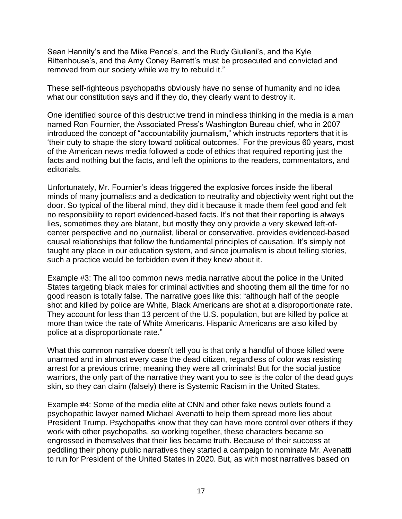Sean Hannity's and the Mike Pence's, and the Rudy Giuliani's, and the Kyle Rittenhouse's, and the Amy Coney Barrett's must be prosecuted and convicted and removed from our society while we try to rebuild it."

These self-righteous psychopaths obviously have no sense of humanity and no idea what our constitution says and if they do, they clearly want to destroy it.

One identified source of this destructive trend in mindless thinking in the media is a man named Ron Fournier, the Associated Press's Washington Bureau chief, who in 2007 introduced the concept of "accountability journalism," which instructs reporters that it is 'their duty to shape the story toward political outcomes.' For the previous 60 years, most of the American news media followed a code of ethics that required reporting just the facts and nothing but the facts, and left the opinions to the readers, commentators, and editorials.

Unfortunately, Mr. Fournier's ideas triggered the explosive forces inside the liberal minds of many journalists and a dedication to neutrality and objectivity went right out the door. So typical of the liberal mind, they did it because it made them feel good and felt no responsibility to report evidenced-based facts. It's not that their reporting is always lies, sometimes they are blatant, but mostly they only provide a very skewed left-ofcenter perspective and no journalist, liberal or conservative, provides evidenced-based causal relationships that follow the fundamental principles of causation. It's simply not taught any place in our education system, and since journalism is about telling stories, such a practice would be forbidden even if they knew about it.

Example #3: The all too common news media narrative about the police in the United States targeting black males for criminal activities and shooting them all the time for no good reason is totally false. The narrative goes like this: "although half of the people shot and killed by police are White, Black Americans are shot at a disproportionate rate. They account for less than 13 percent of the U.S. population, but are killed by police at more than twice the rate of White Americans. Hispanic Americans are also killed by police at a disproportionate rate."

What this common narrative doesn't tell you is that only a handful of those killed were unarmed and in almost every case the dead citizen, regardless of color was resisting arrest for a previous crime; meaning they were all criminals! But for the social justice warriors, the only part of the narrative they want you to see is the color of the dead guys skin, so they can claim (falsely) there is Systemic Racism in the United States.

Example #4: Some of the media elite at CNN and other fake news outlets found a psychopathic lawyer named Michael Avenatti to help them spread more lies about President Trump. Psychopaths know that they can have more control over others if they work with other psychopaths, so working together, these characters became so engrossed in themselves that their lies became truth. Because of their success at peddling their phony public narratives they started a campaign to nominate Mr. Avenatti to run for President of the United States in 2020. But, as with most narratives based on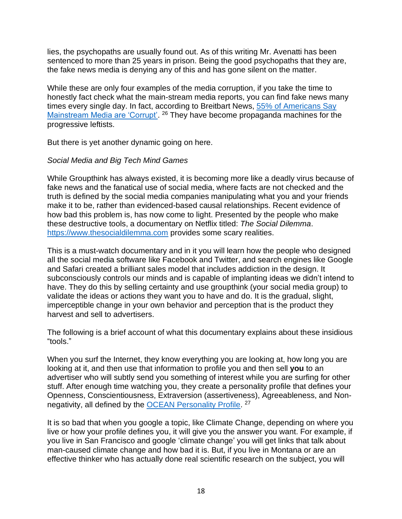lies, the psychopaths are usually found out. As of this writing Mr. Avenatti has been sentenced to more than 25 years in prison. Being the good psychopaths that they are, the fake news media is denying any of this and has gone silent on the matter.

While these are only four examples of the media corruption, if you take the time to honestly fact check what the main-stream media reports, you can find fake news many times every single day. In fact, according to Breitbart News, [55% of Americans Say](https://www.breitbart.com/the-media/2020/01/23/nolte-55-of-americans-say-mainstream-media-are-corrupt/)  [Mainstream Media are 'Corrupt'.](https://www.breitbart.com/the-media/2020/01/23/nolte-55-of-americans-say-mainstream-media-are-corrupt/) <sup>26</sup> They have become propaganda machines for the progressive leftists.

But there is yet another dynamic going on here.

#### *Social Media and Big Tech Mind Games*

While Groupthink has always existed, it is becoming more like a deadly virus because of fake news and the fanatical use of social media, where facts are not checked and the truth is defined by the social media companies manipulating what you and your friends make it to be, rather than evidenced-based causal relationships. Recent evidence of how bad this problem is, has now come to light. Presented by the people who make these destructive tools, a documentary on Netflix titled: *The Social Dilemma*. [https://www.thesocialdilemma.com](https://www.thesocialdilemma.com/) provides some scary realities.

This is a must-watch documentary and in it you will learn how the people who designed all the social media software like Facebook and Twitter, and search engines like Google and Safari created a brilliant sales model that includes addiction in the design. It subconsciously controls our minds and is capable of implanting ideas we didn't intend to have. They do this by selling certainty and use groupthink (your social media group) to validate the ideas or actions they want you to have and do. It is the gradual, slight, imperceptible change in your own behavior and perception that is the product they harvest and sell to advertisers.

The following is a brief account of what this documentary explains about these insidious "tools."

When you surf the Internet, they know everything you are looking at, how long you are looking at it, and then use that information to profile you and then sell **you** to an advertiser who will subtly send you something of interest while you are surfing for other stuff. After enough time watching you, they create a personality profile that defines your Openness, Conscientiousness, Extraversion (assertiveness), Agreeableness, and Nonnegativity, all defined by the **OCEAN Personality Profile**.<sup>27</sup>

It is so bad that when you google a topic, like Climate Change, depending on where you live or how your profile defines you, it will give you the answer you want. For example, if you live in San Francisco and google 'climate change' you will get links that talk about man-caused climate change and how bad it is. But, if you live in Montana or are an effective thinker who has actually done real scientific research on the subject, you will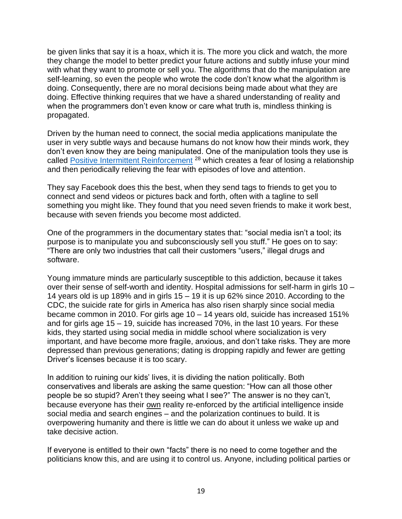be given links that say it is a hoax, which it is. The more you click and watch, the more they change the model to better predict your future actions and subtly infuse your mind with what they want to promote or sell you. The algorithms that do the manipulation are self-learning, so even the people who wrote the code don't know what the algorithm is doing. Consequently, there are no moral decisions being made about what they are doing. Effective thinking requires that we have a shared understanding of reality and when the programmers don't even know or care what truth is, mindless thinking is propagated.

Driven by the human need to connect, the social media applications manipulate the user in very subtle ways and because humans do not know how their minds work, they don't even know they are being manipulated. One of the manipulation tools they use is called [Positive Intermittent Reinforcement](http://psychopathsandlove.com/intermittent-reinforcement/)<sup>28</sup> which creates a fear of losing a relationship and then periodically relieving the fear with episodes of love and attention.

They say Facebook does this the best, when they send tags to friends to get you to connect and send videos or pictures back and forth, often with a tagline to sell something you might like. They found that you need seven friends to make it work best, because with seven friends you become most addicted.

One of the programmers in the documentary states that: "social media isn't a tool; its purpose is to manipulate you and subconsciously sell you stuff." He goes on to say: "There are only two industries that call their customers "users," illegal drugs and software.

Young immature minds are particularly susceptible to this addiction, because it takes over their sense of self-worth and identity. Hospital admissions for self-harm in girls 10 – 14 years old is up 189% and in girls 15 – 19 it is up 62% since 2010. According to the CDC, the suicide rate for girls in America has also risen sharply since social media became common in 2010. For girls age 10 – 14 years old, suicide has increased 151% and for girls age 15 – 19, suicide has increased 70%, in the last 10 years. For these kids, they started using social media in middle school where socialization is very important, and have become more fragile, anxious, and don't take risks. They are more depressed than previous generations; dating is dropping rapidly and fewer are getting Driver's licenses because it is too scary.

In addition to ruining our kids' lives, it is dividing the nation politically. Both conservatives and liberals are asking the same question: "How can all those other people be so stupid? Aren't they seeing what I see?" The answer is no they can't, because everyone has their own reality re-enforced by the artificial intelligence inside social media and search engines – and the polarization continues to build. It is overpowering humanity and there is little we can do about it unless we wake up and take decisive action.

If everyone is entitled to their own "facts" there is no need to come together and the politicians know this, and are using it to control us. Anyone, including political parties or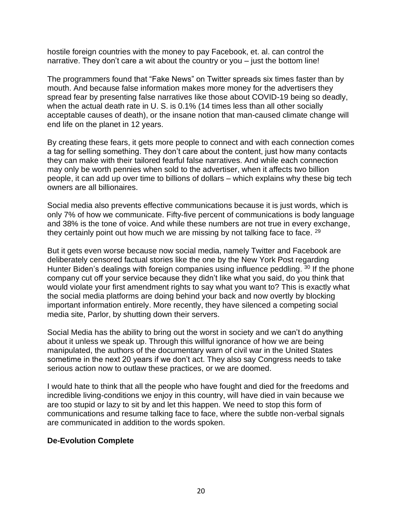hostile foreign countries with the money to pay Facebook, et. al. can control the narrative. They don't care a wit about the country or you – just the bottom line!

The programmers found that "Fake News" on Twitter spreads six times faster than by mouth. And because false information makes more money for the advertisers they spread fear by presenting false narratives like those about COVID-19 being so deadly, when the actual death rate in U. S. is 0.1% (14 times less than all other socially acceptable causes of death), or the insane notion that man-caused climate change will end life on the planet in 12 years.

By creating these fears, it gets more people to connect and with each connection comes a tag for selling something. They don't care about the content, just how many contacts they can make with their tailored fearful false narratives. And while each connection may only be worth pennies when sold to the advertiser, when it affects two billion people, it can add up over time to billions of dollars – which explains why these big tech owners are all billionaires.

Social media also prevents effective communications because it is just words, which is only 7% of how we communicate. Fifty-five percent of communications is body language and 38% is the tone of voice. And while these numbers are not true in every exchange, they certainly point out how much we are missing by not talking face to face. <sup>29</sup>

But it gets even worse because now social media, namely Twitter and Facebook are deliberately censored factual stories like the one by the New York Post regarding Hunter Biden's dealings with foreign companies using influence peddling. <sup>30</sup> If the phone company cut off your service because they didn't like what you said, do you think that would violate your first amendment rights to say what you want to? This is exactly what the social media platforms are doing behind your back and now overtly by blocking important information entirely. More recently, they have silenced a competing social media site, Parlor, by shutting down their servers.

Social Media has the ability to bring out the worst in society and we can't do anything about it unless we speak up. Through this willful ignorance of how we are being manipulated, the authors of the documentary warn of civil war in the United States sometime in the next 20 years if we don't act. They also say Congress needs to take serious action now to outlaw these practices, or we are doomed.

I would hate to think that all the people who have fought and died for the freedoms and incredible living-conditions we enjoy in this country, will have died in vain because we are too stupid or lazy to sit by and let this happen. We need to stop this form of communications and resume talking face to face, where the subtle non-verbal signals are communicated in addition to the words spoken.

## **De-Evolution Complete**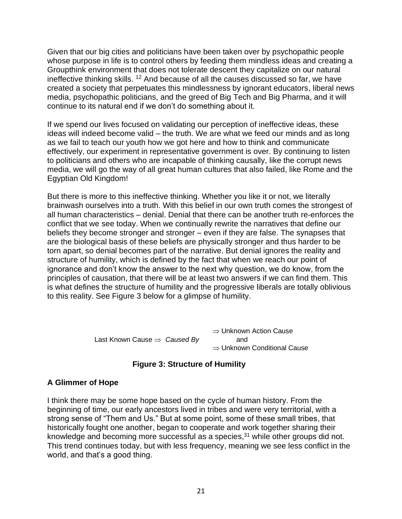Given that our big cities and politicians have been taken over by psychopathic people whose purpose in life is to control others by feeding them mindless ideas and creating a Groupthink environment that does not tolerate descent they capitalize on our natural ineffective thinking skills. <sup>12</sup> And because of all the causes discussed so far, we have created a society that perpetuates this mindlessness by ignorant educators, liberal news media, psychopathic politicians, and the greed of Big Tech and Big Pharma, and it will continue to its natural end if we don't do something about it.

If we spend our lives focused on validating our perception of ineffective ideas, these ideas will indeed become valid – the truth. We are what we feed our minds and as long as we fail to teach our youth how we got here and how to think and communicate effectively, our experiment in representative government is over. By continuing to listen to politicians and others who are incapable of thinking causally, like the corrupt news media, we will go the way of all great human cultures that also failed, like Rome and the Egyptian Old Kingdom!

But there is more to this ineffective thinking. Whether you like it or not, we literally brainwash ourselves into a truth. With this belief in our own truth comes the strongest of all human characteristics – denial. Denial that there can be another truth re-enforces the conflict that we see today. When we continually rewrite the narratives that define our beliefs they become stronger and stronger – even if they are false. The synapses that are the biological basis of these beliefs are physically stronger and thus harder to be torn apart, so denial becomes part of the narrative. But denial ignores the reality and structure of humility, which is defined by the fact that when we reach our point of ignorance and don't know the answer to the next why question, we do know, from the [principles of causation,](mailto:https://www.youtube.com/watch%3Fv=k7ItSa7B-5s%26t=113s) that there will be at least two answers if we can find them. This is what defines the structure of humility and the progressive liberals are totally oblivious to this reality. See Figure 3 below for a glimpse of humility.

> $\Rightarrow$  Unknown Action Cause Last Known Cause  $\Rightarrow$  Caused By and  $\Rightarrow$  Unknown Conditional Cause



## **A Glimmer of Hope**

I think there may be some hope based on the cycle of human history. From the beginning of time, our early ancestors lived in tribes and were very territorial, with a strong sense of "Them and Us." But at some point, some of these small tribes, that historically fought one another, began to cooperate and work together sharing their knowledge and becoming more successful as a species, $31$  while other groups did not. This trend continues today, but with less frequency, meaning we see less conflict in the world, and that's a good thing.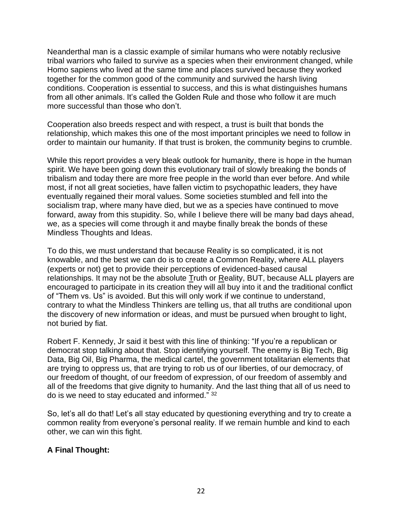Neanderthal man is a classic example of similar humans who were notably reclusive tribal warriors who failed to survive as a species when their environment changed, while Homo sapiens who lived at the same time and places survived because they worked together for the common good of the community and survived the harsh living conditions. Cooperation is essential to success, and this is what distinguishes humans from all other animals. It's called the Golden Rule and those who follow it are much more successful than those who don't.

Cooperation also breeds respect and with respect, a trust is built that bonds the relationship, which makes this one of the most important principles we need to follow in order to maintain our humanity. If that trust is broken, the community begins to crumble.

While this report provides a very bleak outlook for humanity, there is hope in the human spirit. We have been going down this evolutionary trail of slowly breaking the bonds of tribalism and today there are more free people in the world than ever before. And while most, if not all great societies, have fallen victim to psychopathic leaders, they have eventually regained their moral values. Some societies stumbled and fell into the socialism trap, where many have died, but we as a species have continued to move forward, away from this stupidity. So, while I believe there will be many bad days ahead, we, as a species will come through it and maybe finally break the bonds of these Mindless Thoughts and Ideas.

To do this, we must understand that because Reality is so complicated, it is not knowable, and the best we can do is to create a Common Reality, where ALL players (experts or not) get to provide their perceptions of evidenced-based causal relationships. It may not be the absolute Truth or Reality, BUT, because ALL players are encouraged to participate in its creation they will all buy into it and the traditional conflict of "Them vs. Us" is avoided. But this will only work if we continue to understand, contrary to what the Mindless Thinkers are telling us, that all truths are conditional upon the discovery of new information or ideas, and must be pursued when brought to light, not buried by fiat.

Robert F. Kennedy, Jr said it best with this line of thinking: "If you're a republican or democrat stop talking about that. Stop identifying yourself. The enemy is Big Tech, Big Data, Big Oil, Big Pharma, the medical cartel, the government totalitarian elements that are trying to oppress us, that are trying to rob us of our liberties, of our democracy, of our freedom of thought, of our freedom of expression, of our freedom of assembly and all of the freedoms that give dignity to humanity. And the last thing that all of us need to do is we need to stay educated and informed." <sup>32</sup>

So, let's all do that! Let's all stay educated by questioning everything and try to create a common reality from everyone's personal reality. If we remain humble and kind to each other, we can win this fight.

## **A Final Thought:**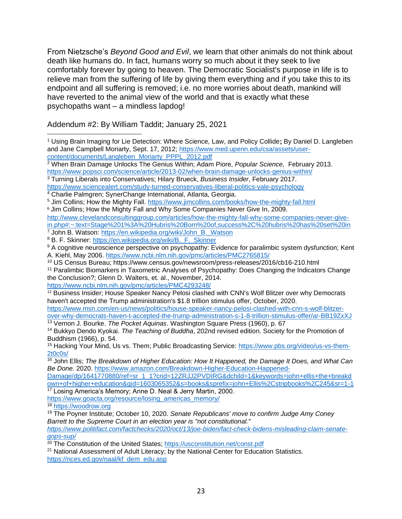From Nietzsche's *Beyond Good and Evil*, we learn that other animals do not think about death like humans do. In fact, humans worry so much about it they seek to live comfortably forever by going to heaven. The Democratic Socialist's purpose in life is to relieve man from the suffering of life by giving them everything and if you take this to its endpoint and all suffering is removed; i.e. no more worries about death, mankind will have reverted to the animal view of the world and that is exactly what these psychopaths want – a mindless lapdog!

Addendum #2: By William Taddit; January 25, 2021

[http://www.clevelandconsultinggroup.com/articles/how-the-mighty-fall-why-some-companies-never-give](http://www.clevelandconsultinggroup.com/articles/how-the-mighty-fall-why-some-companies-never-give-in.php#:~:text=Stage%201%3A%20Hubris%20Born%20of,success%2C%20hubris%20has%20set%20in)[in.php#:~:text=Stage%201%3A%20Hubris%20Born%20of,success%2C%20hubris%20has%20set%20in](http://www.clevelandconsultinggroup.com/articles/how-the-mighty-fall-why-some-companies-never-give-in.php#:~:text=Stage%201%3A%20Hubris%20Born%20of,success%2C%20hubris%20has%20set%20in)

<https://www.ncbi.nlm.nih.gov/pmc/articles/PMC4293248/>

<sup>12</sup> Business Insider; House Speaker Nancy Pelosi clashed with CNN's Wolf Blitzer over why Democrats haven't accepted the Trump administration's \$1.8 trillion stimulus offer, October, 2020.

[https://www.msn.com/en-us/news/politics/house-speaker-nancy-pelosi-clashed-with-cnn-s-wolf-blitzer](https://www.msn.com/en-us/news/politics/house-speaker-nancy-pelosi-clashed-with-cnn-s-wolf-blitzer-over-why-democrats-haven-t-accepted-the-trump-administration-s-1-8-trillion-stimulus-offer/ar-BB19ZxXJ)[over-why-democrats-haven-t-accepted-the-trump-administration-s-1-8-trillion-stimulus-offer/ar-BB19ZxXJ](https://www.msn.com/en-us/news/politics/house-speaker-nancy-pelosi-clashed-with-cnn-s-wolf-blitzer-over-why-democrats-haven-t-accepted-the-trump-administration-s-1-8-trillion-stimulus-offer/ar-BB19ZxXJ) <sup>13</sup> Vernon J. Bourke. *The Pocket Aquinas*. Washington Square Press (1960), p. 67

<sup>14</sup> Bukkyo Dendo Kyokai. *The Teaching of Buddha*, 202nd revised edition. Society for the Promotion of Buddhism (1966), p. 54.

<sup>15</sup> Hacking Your Mind, Us vs. Them; Public Broadcasting Service: [https://www.pbs.org/video/us-vs-them-](https://www.pbs.org/video/us-vs-them-2t0c0s/)[2t0c0s/](https://www.pbs.org/video/us-vs-them-2t0c0s/) 

<sup>16</sup> John Ellis; *The Breakdown of Higher Education: How It Happened, the Damage It Does, and What Can Be Done.* 2020. [https://www.amazon.com/Breakdown-Higher-Education-Happened-](https://www.amazon.com/Breakdown-Higher-Education-Happened-Damage/dp/1641770880/ref=sr_1_1?crid=12ZRJJ2PVDIRG&dchild=1&keywords=john+ellis+the+breakdown+of+higher+education&qid=1603065352&s=books&sprefix=john+Ellis%2Cstripbooks%2C245&sr=1-1)

[Damage/dp/1641770880/ref=sr\\_1\\_1?crid=12ZRJJ2PVDIRG&dchild=1&keywords=john+ellis+the+breakd](https://www.amazon.com/Breakdown-Higher-Education-Happened-Damage/dp/1641770880/ref=sr_1_1?crid=12ZRJJ2PVDIRG&dchild=1&keywords=john+ellis+the+breakdown+of+higher+education&qid=1603065352&s=books&sprefix=john+Ellis%2Cstripbooks%2C245&sr=1-1) [own+of+higher+education&qid=1603065352&s=books&sprefix=john+Ellis%2Cstripbooks%2C245&sr=1-1](https://www.amazon.com/Breakdown-Higher-Education-Happened-Damage/dp/1641770880/ref=sr_1_1?crid=12ZRJJ2PVDIRG&dchild=1&keywords=john+ellis+the+breakdown+of+higher+education&qid=1603065352&s=books&sprefix=john+Ellis%2Cstripbooks%2C245&sr=1-1) <sup>17</sup> Losing America's Memory; Anne D. Neal & Jerry Martin, 2000.

[https://www.goacta.org/resource/losing\\_americas\\_memory/](https://www.goacta.org/resource/losing_americas_memory/)

<sup>18</sup> [https://woodrow.org](https://woodrow.org/)

*[https://www.politifact.com/factchecks/2020/oct/13/joe-biden/fact-check-bidens-misleading-claim-senate](https://www.politifact.com/factchecks/2020/oct/13/joe-biden/fact-check-bidens-misleading-claim-senate-gops-sup/)[gops-sup/](https://www.politifact.com/factchecks/2020/oct/13/joe-biden/fact-check-bidens-misleading-claim-senate-gops-sup/)*

<sup>20</sup> The Constitution of the United States;<https://usconstitution.net/const.pdf>

<sup>1</sup> Using Brain Imaging for Lie Detection: Where Science, Law, and Policy Collide**;** By Daniel D. Langleben and Jane Campbell Moriarty, Sept. 17, 2012; [https://www.med.upenn.edu/csa/assets/user](https://www.med.upenn.edu/csa/assets/user-content/documents/Langleben_Moriarty_PPPL_2012.pdf)[content/documents/Langleben\\_Moriarty\\_PPPL\\_2012.pdf](https://www.med.upenn.edu/csa/assets/user-content/documents/Langleben_Moriarty_PPPL_2012.pdf)

<sup>2</sup> When Brain Damage Unlocks The Genius Within; Adam Piore, *Popular Science,* February 2013. <https://www.popsci.com/science/article/2013-02/when-brain-damage-unlocks-genius-within/>

<sup>3</sup> Turning Liberals into Conservatives; Hilary Brueck, *Business Insider*, February 2017.

<https://www.sciencealert.com/study-turned-conservatives-liberal-politics-yale-psychology>

<sup>4</sup> Charlie Palmgren; SynerChange International, Atlanta, Georgia.

<sup>5</sup> Jim Collins; How the Mighty Fall.<https://www.jimcollins.com/books/how-the-mighty-fall.html>

<sup>6</sup> Jim Collins; How the Mighty Fall and Why Some Companies Never Give In, 2009.

<sup>&</sup>lt;sup>7</sup> John B. Watson: https://en.wikipedia.org/wiki/John\_B. Watson

<sup>&</sup>lt;sup>8</sup> B. F. Skinner: https://en.wikipedia.org/wiki/B. F. Skinner

<sup>&</sup>lt;sup>9</sup> A cognitive neuroscience perspective on psychopathy: Evidence for paralimbic system dysfunction; Kent A. Kiehl, May 2006.<https://www.ncbi.nlm.nih.gov/pmc/articles/PMC2765815/>

<sup>10</sup> US Census Bureau; https://www.census.gov/newsroom/press-releases/2016/cb16-210.html

<sup>&</sup>lt;sup>11</sup> Paralimbic Biomarkers in Taxometric Analyses of Psychopathy: Does Changing the Indicators Change the Conclusion?; Glenn D. Walters, et. al., November, 2014.

<sup>19</sup> The Poyner Institute; October 10, 2020. *Senate Republicans' move to confirm Judge Amy Coney Barrett to the Supreme Court in an election year is "not constitutional."* 

<sup>&</sup>lt;sup>21</sup> National Assessment of Adult Literacy; by the National Center for Education Statistics. [https://nces.ed.gov/naal/kf\\_dem\\_edu.asp](https://nces.ed.gov/naal/kf_dem_edu.asp)